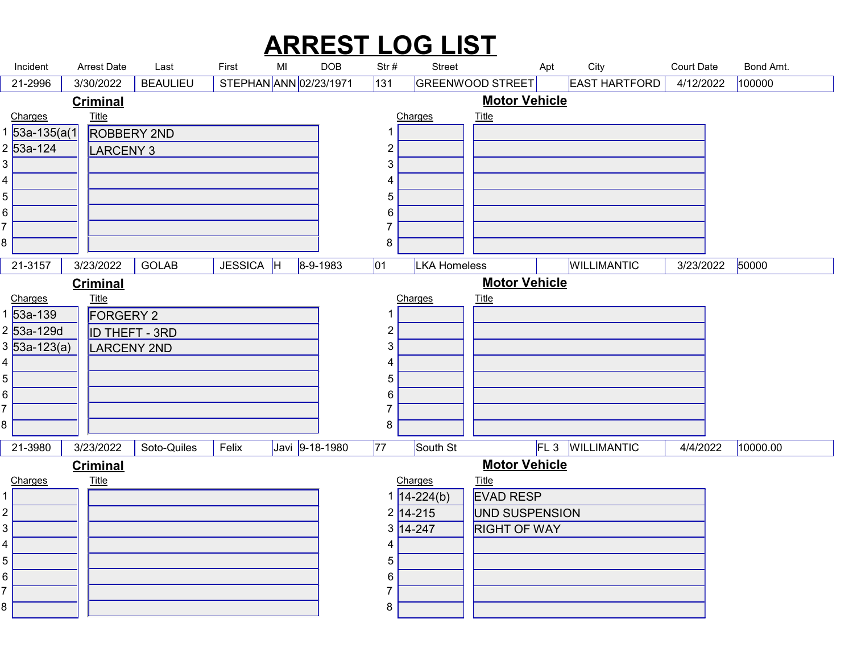#### Incident Arrest Date Last First MI DOB Str # Street Apt City Court Date Bond Amt.<br>21-2996 3/30/2022 BEAULIEU STEPHAN ANN 02/23/1971 131 GREENWOOD STREET EAST HARTFORD 4/12/2022 100000<br><u>Criminal Motor Vehicle</u><br>533-135/a(1) ARREST LOG LIST Arrest Date Last First MI 21-2996 | 3/30/2022 |BEAULIEU | STEPHAN|ANN|02/23/1971 |131 |GREENWOOD STREET| EAST HARTFORD | 4/12/2022 |100000 ROBBERY 2ND 53a-135(a(1 LARCENY 3 53a-124 Charges Title  $\begin{array}{ccc} 4 & 1 \\ 1 & 1 \end{array}$  **Title** that the contract of the contract of the contract of the contract of the contract of the contract of the contract of the contract of the contract of the contract of the contract of the contract of the contract of t Charges Title and  $1$  and  $1$  and  $1$  and  $1$  and  $1$  **Title The Community of the Community of the Community of the Community of the Community of the Community of the Community of the Community of the Community of the Community of the Community of the Community of the Commu Criminal** Motor Vehicle 21-3157 | 3/23/2022 | GOLAB | JESSICA |H |8-9-1983 |01 |LKA Homeless | |WILLIMANTIC | 3/23/2022 |50000 | FORGERY 2 53a-139 ID THEFT - 3RD 53a-129d LARCENY 2ND 53a-123(a) Charges Title 8 a.C. (1980) and the set of the set of the set of the set of the set of the set of the set of the set of the<br>Set of the set of the set of the set of the set of the set of the set of the set of the set of the set of the **Title** that the contract of the contract of the contract of the contract of the contract of the contract of the contract of the contract of the contract of the contract of the contract of the contract of the contract of t 3/23/2022 GOLAB JESSICA H 8-9-1983 Charges Title 8 a.C. (1985). A contract of the second state of the second state of the second state of the second state of t<br>1980 and 1980 and 1980 and 1980 and 1980 and 1980 and 1980 and 1980 and 1980 and 1980 and 1980 and 1980 and 19 **Title The Community of the Community of the Community of the Community of the Community of the Community of the Community of the Community of the Community of the Community of the Community of the Community of the Commu Criminal** Motor Vehicle 21-3980 3/23/2022 Soto-Quiles Felix Javi 9-18-1980 77 South St FL 3 WILLIMANTIC 4/4/2022 10000.00 Charges Title **Title The Community of the Community of the Community of the Community of the Community of the Community of the Community of the Community of the Community of the Community of the Community of the Community of the Commu** Soto-Quiles EVAD RESP 14-224(b) UND SUSPENSION 14-215 RIGHT OF WAY 14-247 Charges Title **Title The Community of the Community of the Community of the Community of the Community of the Community of the Community of the Community of the Community of the Community of the Community of the Community of the Commu Criminal** Motor Vehicle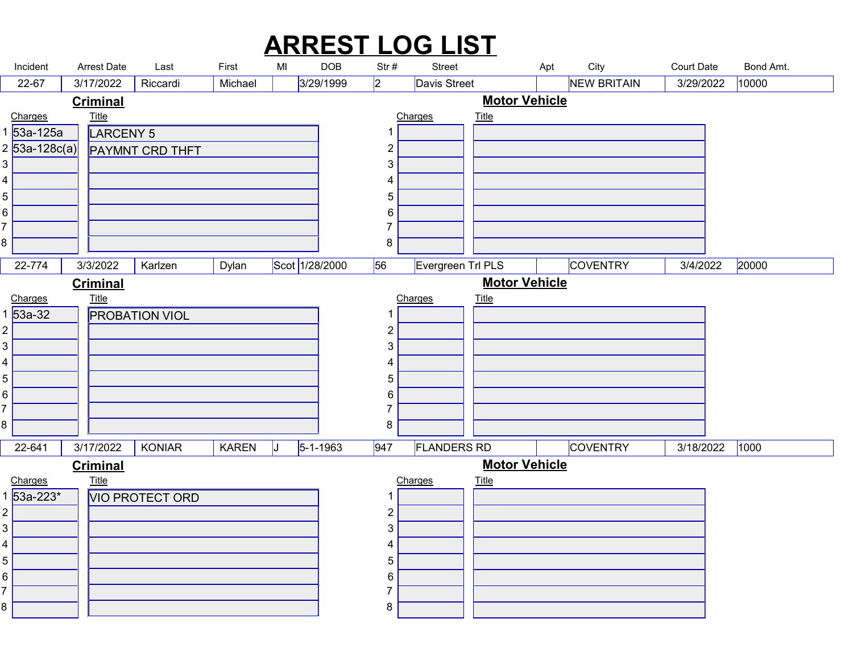| <b>ARREST LOG LIST</b><br>City<br><b>Arrest Date</b><br>MI<br><b>DOB</b><br><b>Court Date</b><br>Incident<br>First<br>Str#<br>Street<br>Last<br>Apt<br>$ 2\rangle$<br>3/29/1999<br><b>NEW BRITAIN</b><br>10000<br>22-67<br>3/17/2022<br>Riccardi<br>Davis Street<br>3/29/2022<br>Michael<br><b>Motor Vehicle</b><br><b>Criminal</b><br><b>Title</b><br><b>Title</b><br>Charges<br>Charges<br>53a-125a<br>LARCENY 5<br>-1<br>$2 53a-128c(a) $<br>$\overline{2}$<br><b>PAYMNT CRD THFT</b><br>3<br>3<br>4<br>4<br>5<br>5 <br>6 <br>6<br>$\overline{7}$<br>8<br>8<br>Scot 1/28/2000<br>56<br>3/4/2022 20000<br>$22 - 774$<br>Evergreen Trl PLS<br>3/3/2022   Karlzen<br>Dylan<br><b>COVENTRY</b><br><b>Motor Vehicle</b><br><b>Criminal</b><br><u>Charges</u><br>1 53a-32<br><b>Title</b><br>Charges<br>$Title$<br><b>PROBATION VIOL</b><br>-1<br>2 <br>$\overline{c}$<br>$3\vert$<br>3<br>4  <br>4<br>5 <br>5<br>6 <br>6<br>$\overline{7}$<br>8<br>8<br>$5 - 1 - 1963$ |        |           |        |              |    |                |                    |          |           |           |
|----------------------------------------------------------------------------------------------------------------------------------------------------------------------------------------------------------------------------------------------------------------------------------------------------------------------------------------------------------------------------------------------------------------------------------------------------------------------------------------------------------------------------------------------------------------------------------------------------------------------------------------------------------------------------------------------------------------------------------------------------------------------------------------------------------------------------------------------------------------------------------------------------------------------------------------------------------------------|--------|-----------|--------|--------------|----|----------------|--------------------|----------|-----------|-----------|
|                                                                                                                                                                                                                                                                                                                                                                                                                                                                                                                                                                                                                                                                                                                                                                                                                                                                                                                                                                      |        |           |        |              |    |                |                    |          |           |           |
|                                                                                                                                                                                                                                                                                                                                                                                                                                                                                                                                                                                                                                                                                                                                                                                                                                                                                                                                                                      |        |           |        |              |    |                |                    |          |           |           |
|                                                                                                                                                                                                                                                                                                                                                                                                                                                                                                                                                                                                                                                                                                                                                                                                                                                                                                                                                                      |        |           |        |              |    |                |                    |          |           |           |
|                                                                                                                                                                                                                                                                                                                                                                                                                                                                                                                                                                                                                                                                                                                                                                                                                                                                                                                                                                      |        |           |        |              |    |                |                    |          |           |           |
|                                                                                                                                                                                                                                                                                                                                                                                                                                                                                                                                                                                                                                                                                                                                                                                                                                                                                                                                                                      |        |           |        |              |    |                |                    |          |           | Bond Amt. |
|                                                                                                                                                                                                                                                                                                                                                                                                                                                                                                                                                                                                                                                                                                                                                                                                                                                                                                                                                                      |        |           |        |              |    |                |                    |          |           |           |
|                                                                                                                                                                                                                                                                                                                                                                                                                                                                                                                                                                                                                                                                                                                                                                                                                                                                                                                                                                      |        |           |        |              |    |                |                    |          |           |           |
|                                                                                                                                                                                                                                                                                                                                                                                                                                                                                                                                                                                                                                                                                                                                                                                                                                                                                                                                                                      |        |           |        |              |    |                |                    |          |           |           |
|                                                                                                                                                                                                                                                                                                                                                                                                                                                                                                                                                                                                                                                                                                                                                                                                                                                                                                                                                                      |        |           |        |              |    |                |                    |          |           |           |
|                                                                                                                                                                                                                                                                                                                                                                                                                                                                                                                                                                                                                                                                                                                                                                                                                                                                                                                                                                      |        |           |        |              |    |                |                    |          |           |           |
|                                                                                                                                                                                                                                                                                                                                                                                                                                                                                                                                                                                                                                                                                                                                                                                                                                                                                                                                                                      |        |           |        |              |    |                |                    |          |           |           |
|                                                                                                                                                                                                                                                                                                                                                                                                                                                                                                                                                                                                                                                                                                                                                                                                                                                                                                                                                                      |        |           |        |              |    |                |                    |          |           |           |
|                                                                                                                                                                                                                                                                                                                                                                                                                                                                                                                                                                                                                                                                                                                                                                                                                                                                                                                                                                      |        |           |        |              |    |                |                    |          |           |           |
|                                                                                                                                                                                                                                                                                                                                                                                                                                                                                                                                                                                                                                                                                                                                                                                                                                                                                                                                                                      |        |           |        |              |    |                |                    |          |           |           |
|                                                                                                                                                                                                                                                                                                                                                                                                                                                                                                                                                                                                                                                                                                                                                                                                                                                                                                                                                                      |        |           |        |              |    |                |                    |          |           |           |
|                                                                                                                                                                                                                                                                                                                                                                                                                                                                                                                                                                                                                                                                                                                                                                                                                                                                                                                                                                      |        |           |        |              |    |                |                    |          |           |           |
|                                                                                                                                                                                                                                                                                                                                                                                                                                                                                                                                                                                                                                                                                                                                                                                                                                                                                                                                                                      |        |           |        |              |    |                |                    |          |           |           |
|                                                                                                                                                                                                                                                                                                                                                                                                                                                                                                                                                                                                                                                                                                                                                                                                                                                                                                                                                                      |        |           |        |              |    |                |                    |          |           |           |
|                                                                                                                                                                                                                                                                                                                                                                                                                                                                                                                                                                                                                                                                                                                                                                                                                                                                                                                                                                      |        |           |        |              |    |                |                    |          |           |           |
|                                                                                                                                                                                                                                                                                                                                                                                                                                                                                                                                                                                                                                                                                                                                                                                                                                                                                                                                                                      |        |           |        |              |    |                |                    |          |           |           |
|                                                                                                                                                                                                                                                                                                                                                                                                                                                                                                                                                                                                                                                                                                                                                                                                                                                                                                                                                                      |        |           |        |              |    |                |                    |          |           |           |
|                                                                                                                                                                                                                                                                                                                                                                                                                                                                                                                                                                                                                                                                                                                                                                                                                                                                                                                                                                      |        |           |        |              |    |                |                    |          |           |           |
|                                                                                                                                                                                                                                                                                                                                                                                                                                                                                                                                                                                                                                                                                                                                                                                                                                                                                                                                                                      | 22-641 | 3/17/2022 | KONIAR | <b>KAREN</b> | IJ | 947            | <b>FLANDERS RD</b> | COVENTRY | 3/18/2022 | 1000      |
|                                                                                                                                                                                                                                                                                                                                                                                                                                                                                                                                                                                                                                                                                                                                                                                                                                                                                                                                                                      |        |           |        |              |    |                |                    |          |           |           |
| <b>Motor Vehicle</b><br><b>Criminal</b>                                                                                                                                                                                                                                                                                                                                                                                                                                                                                                                                                                                                                                                                                                                                                                                                                                                                                                                              |        |           |        |              |    | -1             |                    |          |           |           |
| $Title$<br><b>Title</b><br>Charges<br>Charges<br>$\overline{53a-223^*}$<br><b>VIO PROTECT ORD</b>                                                                                                                                                                                                                                                                                                                                                                                                                                                                                                                                                                                                                                                                                                                                                                                                                                                                    | 2      |           |        |              |    | $\overline{2}$ |                    |          |           |           |
|                                                                                                                                                                                                                                                                                                                                                                                                                                                                                                                                                                                                                                                                                                                                                                                                                                                                                                                                                                      |        |           |        |              |    | 3              |                    |          |           |           |
|                                                                                                                                                                                                                                                                                                                                                                                                                                                                                                                                                                                                                                                                                                                                                                                                                                                                                                                                                                      |        |           |        |              |    |                |                    |          |           |           |
| 4<br>4                                                                                                                                                                                                                                                                                                                                                                                                                                                                                                                                                                                                                                                                                                                                                                                                                                                                                                                                                               | 6      |           |        |              |    | 6              |                    |          |           |           |
| 5 <br>5                                                                                                                                                                                                                                                                                                                                                                                                                                                                                                                                                                                                                                                                                                                                                                                                                                                                                                                                                              |        |           |        |              |    | $\overline{7}$ |                    |          |           |           |
| 3                                                                                                                                                                                                                                                                                                                                                                                                                                                                                                                                                                                                                                                                                                                                                                                                                                                                                                                                                                    |        |           |        |              |    | 8              |                    |          |           |           |
|                                                                                                                                                                                                                                                                                                                                                                                                                                                                                                                                                                                                                                                                                                                                                                                                                                                                                                                                                                      |        |           |        |              |    |                |                    |          |           |           |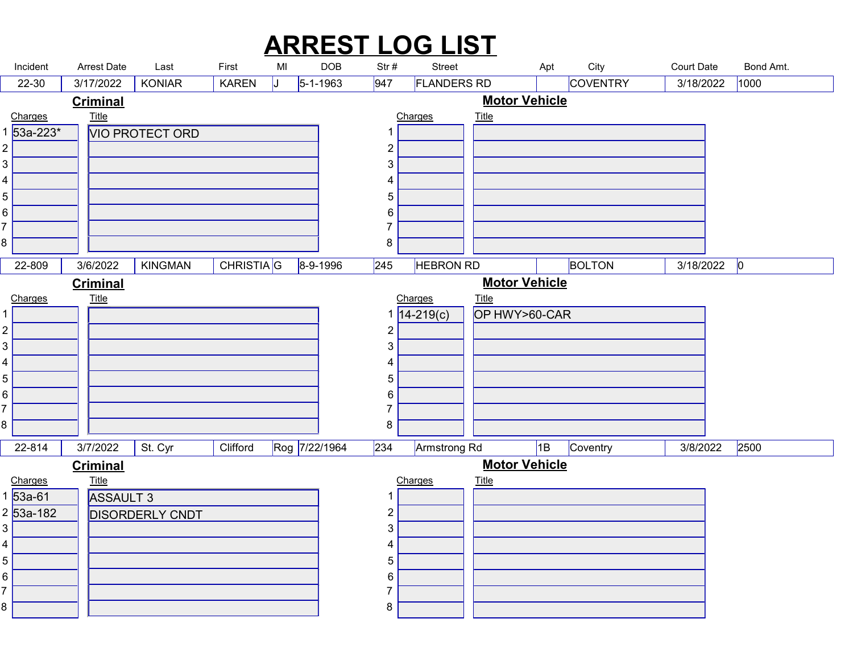|                     | Incident                        | Arrest Date                     | Last                                   | First        | MI | <b>DOB</b>     | Str#                | <b>ARREST LOG LIST</b><br><b>Street</b> |                                      | City<br>Apt             | <b>Court Date</b> | Bond Amt. |  |
|---------------------|---------------------------------|---------------------------------|----------------------------------------|--------------|----|----------------|---------------------|-----------------------------------------|--------------------------------------|-------------------------|-------------------|-----------|--|
|                     | 22-30                           | 3/17/2022                       | <b>KONIAR</b>                          | <b>KAREN</b> |    | $5 - 1 - 1963$ | 947                 | <b>FLANDERS RD</b>                      |                                      | COVENTRY                | 3/18/2022         | 1000      |  |
|                     | Charges                         | <b>Criminal</b><br><u>Title</u> |                                        |              |    |                |                     | Charges                                 | <b>Motor Vehicle</b><br><b>Title</b> |                         |                   |           |  |
|                     | 53a-223*                        |                                 | <b>VIO PROTECT ORD</b>                 |              |    |                | -1                  |                                         |                                      |                         |                   |           |  |
| $\overline{2}$      |                                 |                                 |                                        |              |    |                | $\overline{c}$      |                                         |                                      |                         |                   |           |  |
| 3<br>4              |                                 |                                 |                                        |              |    |                | $\mathfrak{S}$<br>4 |                                         |                                      |                         |                   |           |  |
| 5                   |                                 |                                 |                                        |              |    |                | $5\phantom{.0}$     |                                         |                                      |                         |                   |           |  |
| 6                   |                                 |                                 |                                        |              |    |                | 6                   |                                         |                                      |                         |                   |           |  |
| 8                   |                                 |                                 |                                        |              |    |                | 7<br>8              |                                         |                                      |                         |                   |           |  |
|                     | 22-809                          |                                 | $3/6/2022$ KINGMAN CHRISTIA G 8-9-1996 |              |    |                |                     | 245 <b>HEBRON RD</b>                    |                                      | <b>Example 1</b> BOLTON | $3/18/2022$ 0     |           |  |
|                     |                                 | <b>Criminal</b>                 |                                        |              |    |                |                     |                                         | <b>Motor Vehicle</b>                 |                         |                   |           |  |
|                     | Charges                         | <b>Title</b>                    |                                        |              |    |                |                     | Charges                                 | <u>Title</u>                         |                         |                   |           |  |
| $\overline{c}$      |                                 |                                 |                                        |              |    |                | $\overline{c}$      | $14 - 219(c)$                           | OP HWY>60-CAR                        |                         |                   |           |  |
| $\mathfrak{B}$      |                                 |                                 |                                        |              |    |                | 3                   |                                         |                                      |                         |                   |           |  |
| 4                   |                                 |                                 |                                        |              |    |                | 4                   |                                         |                                      |                         |                   |           |  |
| 5<br>6              |                                 |                                 |                                        |              |    |                | 5<br>6              |                                         |                                      |                         |                   |           |  |
|                     |                                 |                                 |                                        |              |    |                | 7                   |                                         |                                      |                         |                   |           |  |
| 8                   |                                 |                                 |                                        |              |    |                | 8                   |                                         |                                      |                         |                   |           |  |
|                     | 22-814                          | 3/7/2022                        | St. Cyr                                | Clifford     |    | Rog 7/22/1964  | 234                 | Armstrong Rd                            |                                      | 1B Coventry             | 3/8/2022          | 2500      |  |
|                     |                                 | <b>Criminal</b>                 |                                        |              |    |                |                     | Charges                                 | <b>Motor Vehicle</b>                 |                         |                   |           |  |
|                     | Charges<br>$1\overline{53a-61}$ | $Title$<br>ASSAULT 3            |                                        |              |    |                | 1                   |                                         | <b>Title</b>                         |                         |                   |           |  |
|                     | 2 53a-182                       |                                 | <b>DISORDERLY CNDT</b>                 |              |    |                | $\overline{c}$      |                                         |                                      |                         |                   |           |  |
| 3                   |                                 |                                 |                                        |              |    |                | $\mathfrak{S}$      |                                         |                                      |                         |                   |           |  |
| 4<br>$\overline{5}$ |                                 |                                 |                                        |              |    |                | 4<br>5              |                                         |                                      |                         |                   |           |  |
| 6                   |                                 |                                 |                                        |              |    |                | 6                   |                                         |                                      |                         |                   |           |  |
|                     |                                 |                                 |                                        |              |    |                | 7                   |                                         |                                      |                         |                   |           |  |
| 8                   |                                 |                                 |                                        |              |    |                | 8                   |                                         |                                      |                         |                   |           |  |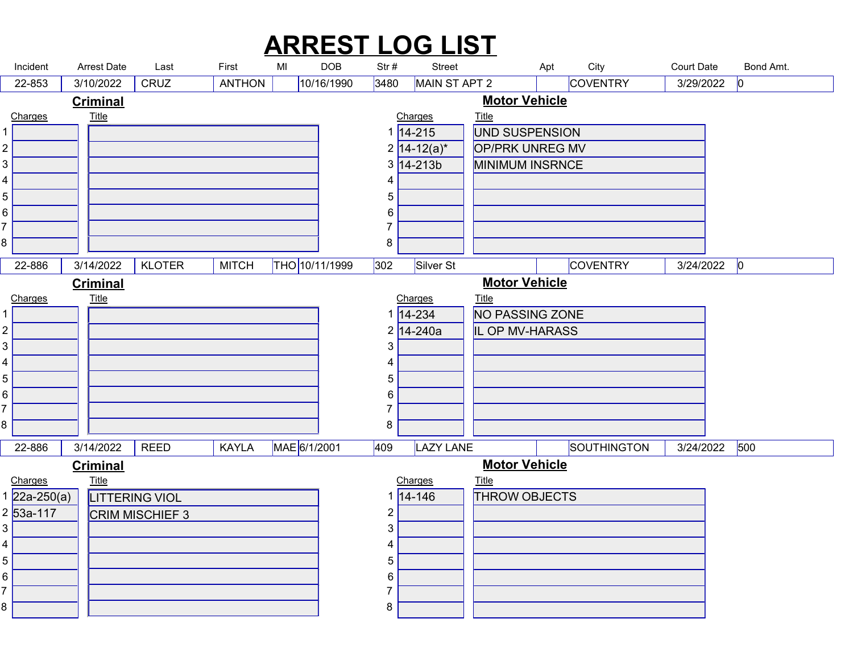#### $\begin{array}{c|c|c|c|c|c|c} \hline \text{An rest Date} & \text{Last} & \text{First} & \text{M} & \text{DOB} & \text{Str#} & \text{Stret} & \text{Apt} & \text{City} & \text{Court Date} & \text{Bond Amt.} \\ \hline 22-853 & 3/10/2022 & |CRUZ & |ANTHON & |10/16/1990 & |3480 & |MAIN STAPTZ & |COVENTRY & |3/29/2022 & |0 & \text{Curr.} \\ \hline \text{Criminal} & & & & & & & & & & & & & & & & & & & & & & & & &$ ARREST LOG LIST Arrest Date Last First MI 22-853 | 3/10/2022 | CRUZ | ANTHON | |10/16/1990 |3480 |MAIN ST APT 2 | COVENTRY | 3/29/2022 |0 | Charges  $\begin{array}{ccc} 4 & 1 \\ 1 & 1 \end{array}$  **Title** that the contract of the contract of the contract of the contract of the contract of the contract of the contract of the contract of the contract of the contract of the contract of the contract of the contract of t 3/10/2022 CRUZ **ANTHON** 10/16/1990 UND SUSPENSION 14-215 OP/PRK UNREG MV 14-12(a)\* MINIMUM INSRNCE 14-213b Charges Title **Title The Community of the Community of the Community of the Community of the Community of the Community of the Community of the Community of the Community of the Community of the Community of the Community of the Commu Criminal** Motor Vehicle 22-886 | 3/14/2022 | KLOTER | MITCH |THO |10/11/1999 |302 |Silver St | COVENTRY | 3/24/2022 |0 | Charges Title 8 a.C. (1980) and the set of the set of the set of the set of the set of the set of the set of the set of the<br>Set of the set of the set of the set of the set of the set of the set of the set of the set of the set of the **Title** that the contract of the contract of the contract of the contract of the contract of the contract of the contract of the contract of the contract of the contract of the contract of the contract of the contract of t 3/14/2022 KLOTER MITCH THO 10/11/1999 NO PASSING ZONE 14-234 IL OP MV-HARASS 14-240a Charges Title 8 a.C. (1985). A contract of the second state of the second state of the second state of the second state of t<br>1980 and 1980 and 1980 and 1980 and 1980 and 1980 and 1980 and 1980 and 1980 and 1980 and 1980 and 1980 and 19 **Title The Community of the Community of the Community of the Community of the Community of the Community of the Community of the Community of the Community of the Community of the Community of the Community of the Commu Criminal** Motor Vehicle 22-886 | 3/14/2022 | REED | KAYLA |MAE|6/1/2001 |409 |LAZY LANE | |SOUTHINGTON | 3/24/2022 |500 | LITTERING VIOL 22a-250(a) CRIM MISCHIEF 3 53a-117 Charges Title **Title The Community of the Community of the Community of the Community of the Community of the Community of the Community of the Community of the Community of the Community of the Community of the Community of the Commu** 3/14/2022 | REED | KAYLA | MAE 6/1/2001 **14-146** THROW OBJECTS Charges Title **Title The Community of the Community of the Community of the Community of the Community of the Community of the Community of the Community of the Community of the Community of the Community of the Community of the Commu Criminal** Motor Vehicle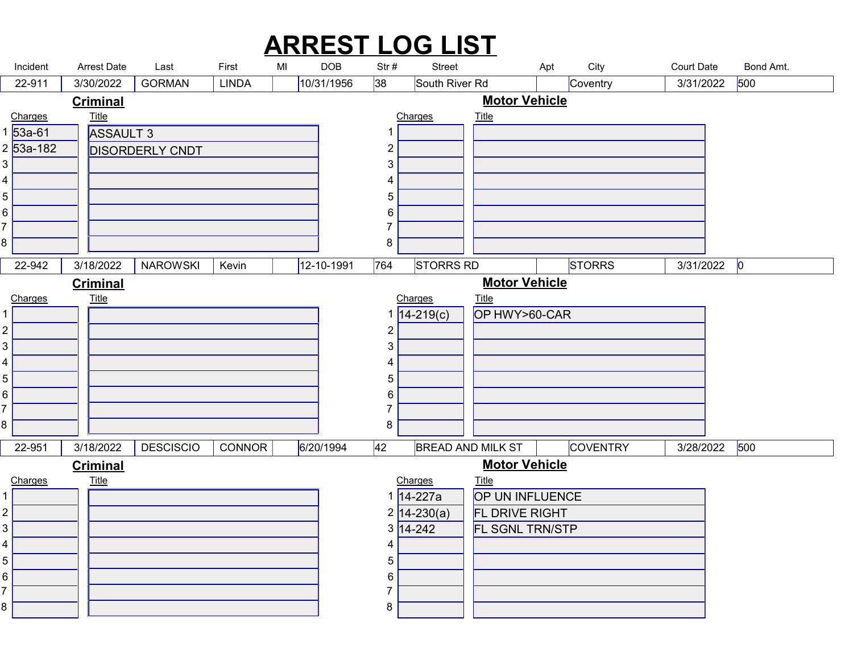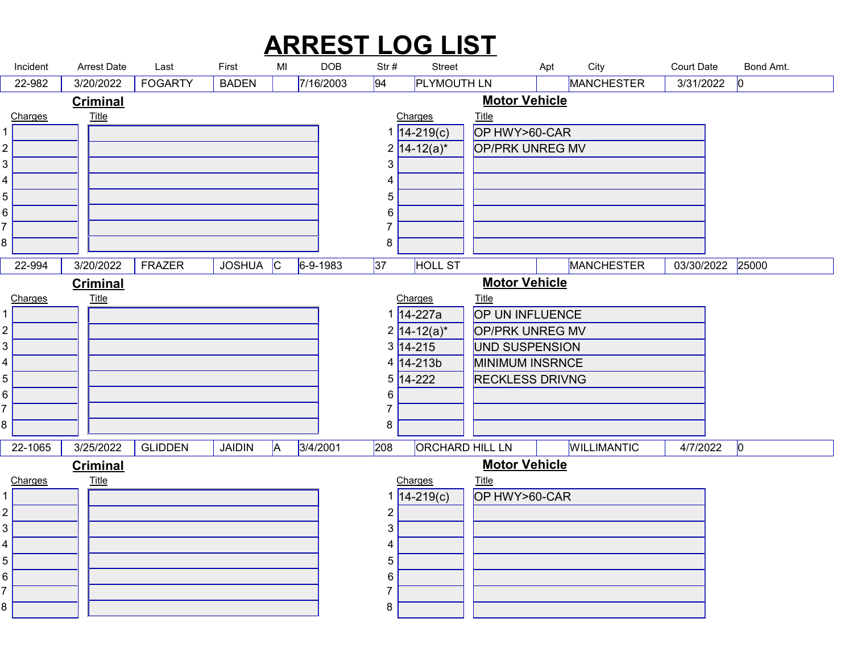|                                | Incident | <b>Arrest Date</b>      | Last           | First                    | MI       | <b>DOB</b>     | Str#                | <b>ARREST LOG LIST</b><br>Street |                                           | City<br>Apt | <b>Court Date</b> | Bond Amt.        |  |
|--------------------------------|----------|-------------------------|----------------|--------------------------|----------|----------------|---------------------|----------------------------------|-------------------------------------------|-------------|-------------------|------------------|--|
|                                | 22-982   | 3/20/2022               | <b>FOGARTY</b> | <b>BADEN</b>             |          | 7/16/2003      | 94                  | <b>PLYMOUTH LN</b>               |                                           | MANCHESTER  |                   | 3/31/2022<br> 0  |  |
| Charges                        |          | <b>Criminal</b>         |                |                          |          |                |                     | Charges                          | <b>Motor Vehicle</b><br><b>Title</b>      |             |                   |                  |  |
|                                |          | <b>Title</b>            |                |                          |          |                |                     | $1 14-219(c) $                   | OP HWY>60-CAR                             |             |                   |                  |  |
| $\overline{2}$                 |          |                         |                |                          |          |                |                     | $2 14 - 12(a)^{*} $              | <b>OP/PRK UNREG MV</b>                    |             |                   |                  |  |
| 3<br>4                         |          |                         |                |                          |          |                | $\mathbf{3}$<br>4   |                                  |                                           |             |                   |                  |  |
| $\mathbf 5$                    |          |                         |                |                          |          |                | $5\phantom{.0}$     |                                  |                                           |             |                   |                  |  |
| 6<br>⇁                         |          |                         |                |                          |          |                | 6                   |                                  |                                           |             |                   |                  |  |
| 8                              |          |                         |                |                          |          |                | $\overline{7}$<br>8 |                                  |                                           |             |                   |                  |  |
|                                | $22-994$ | 3/20/2022 <b>FRAZER</b> |                | $\big $ JOSHUA $\big $ C |          | $6 - 9 - 1983$ | 37                  | <b>HOLL ST</b>                   |                                           | MANCHESTER  |                   | 03/30/2022 25000 |  |
|                                |          | <b>Criminal</b>         |                |                          |          |                |                     |                                  | <b>Motor Vehicle</b>                      |             |                   |                  |  |
| Charges<br>$1 \vert$           |          | <b>Title</b>            |                |                          |          |                |                     | Charges<br>1 14-227a             | <b>Title</b><br>OP UN INFLUENCE           |             |                   |                  |  |
| $\overline{c}$                 |          |                         |                |                          |          |                |                     | $2\sqrt{14-12(a)^{*}}$           | OP/PRK UNREG MV                           |             |                   |                  |  |
| $\mathbf{3}$                   |          |                         |                |                          |          |                |                     | $3 \overline{)14 - 215}$         | UND SUSPENSION                            |             |                   |                  |  |
| 4<br>$\overline{5}$            |          |                         |                |                          |          |                |                     | $4 14-213b $<br>$5 14-222 $      | MINIMUM INSRNCE<br><b>RECKLESS DRIVNG</b> |             |                   |                  |  |
| 6                              |          |                         |                |                          |          |                | 6                   |                                  |                                           |             |                   |                  |  |
| 8                              |          |                         |                |                          |          |                | 7<br>8              |                                  |                                           |             |                   |                  |  |
|                                | 22-1065  | 3/25/2022               | <b>GLIDDEN</b> | JAIDIN                   | <b>A</b> | 3/4/2001       | 208                 | ORCHARD HILL LN                  |                                           | WILLIMANTIC |                   | $4/7/2022$ 0     |  |
|                                |          | <b>Criminal</b>         |                |                          |          |                |                     |                                  | <b>Motor Vehicle</b>                      |             |                   |                  |  |
| Charges                        |          | <u>Title</u>            |                |                          |          |                |                     | Charges                          | <b>Title</b>                              |             |                   |                  |  |
| 1                              |          |                         |                |                          |          |                | $\overline{c}$      | $1 14-219(c) $                   | OP HWY>60-CAR                             |             |                   |                  |  |
| $\overline{c}$<br>$\mathbf{3}$ |          |                         |                |                          |          |                | 3                   |                                  |                                           |             |                   |                  |  |
| 4                              |          |                         |                |                          |          |                | 4                   |                                  |                                           |             |                   |                  |  |
| $\sqrt{5}$                     |          |                         |                |                          |          |                | 5                   |                                  |                                           |             |                   |                  |  |
| 6                              |          |                         |                |                          |          |                | 6<br>7              |                                  |                                           |             |                   |                  |  |
| 8                              |          |                         |                |                          |          |                | 8                   |                                  |                                           |             |                   |                  |  |
|                                |          |                         |                |                          |          |                |                     |                                  |                                           |             |                   |                  |  |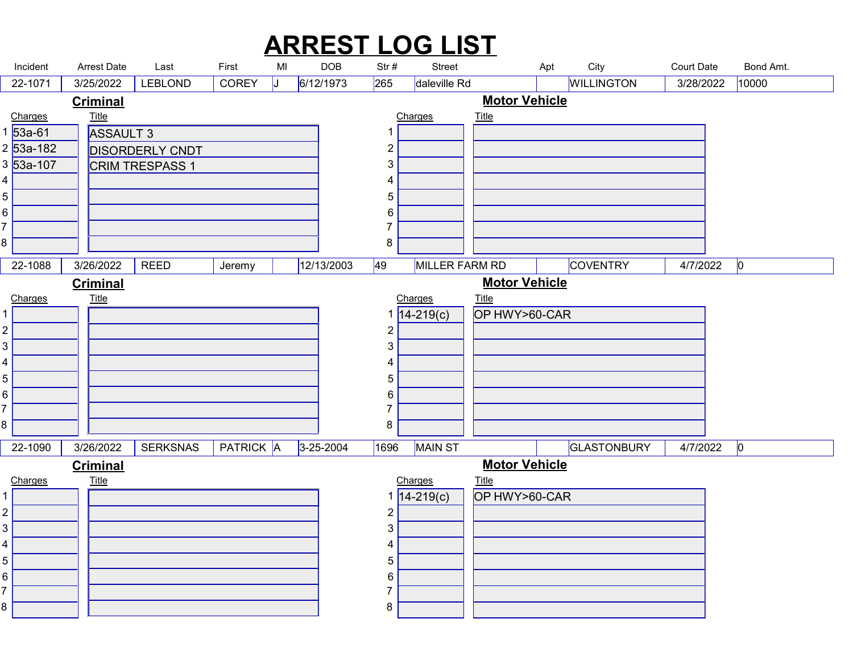|                                             |                     |                                 |                        |                                            |                    |                         |                                | <b>ARREST LOG LIST</b>        |                                      |                                  |                                |                    |  |
|---------------------------------------------|---------------------|---------------------------------|------------------------|--------------------------------------------|--------------------|-------------------------|--------------------------------|-------------------------------|--------------------------------------|----------------------------------|--------------------------------|--------------------|--|
|                                             | Incident<br>22-1071 | Arrest Date<br>3/25/2022        | Last<br><b>LEBLOND</b> | First<br><b>COREY</b>                      | MI<br>$\mathbf{L}$ | <b>DOB</b><br>6/12/1973 | Str#<br>265                    | <b>Street</b><br>daleville Rd |                                      | City<br>Apt<br><b>WILLINGTON</b> | <b>Court Date</b><br>3/28/2022 | Bond Amt.<br>10000 |  |
|                                             | Charges             | <b>Criminal</b><br><b>Title</b> |                        |                                            |                    |                         |                                | Charges                       | <b>Motor Vehicle</b><br><b>Title</b> |                                  |                                |                    |  |
|                                             | 1 53a-61            | <b>ASSAULT 3</b>                |                        |                                            |                    |                         | -1                             |                               |                                      |                                  |                                |                    |  |
|                                             | 2 53a-182           |                                 | <b>DISORDERLY CNDT</b> |                                            |                    |                         | $\overline{c}$                 |                               |                                      |                                  |                                |                    |  |
| 4                                           | 3 53a-107           |                                 | CRIM TRESPASS 1        |                                            |                    |                         | $\mathbf{3}$<br>4              |                               |                                      |                                  |                                |                    |  |
| 5                                           |                     |                                 |                        |                                            |                    |                         | 5                              |                               |                                      |                                  |                                |                    |  |
| 6                                           |                     |                                 |                        |                                            |                    |                         | 6                              |                               |                                      |                                  |                                |                    |  |
| 8                                           |                     |                                 |                        |                                            |                    |                         | 7<br>8                         |                               |                                      |                                  |                                |                    |  |
|                                             |                     | 22-1088 3/26/2022 REED          |                        | $\sqrt{\frac{J_{\text{e}}}{J_{\text{e}}}}$ |                    | 12/13/2003              | 49                             | MILLER FARM RD                |                                      | <b>COVENTRY</b>                  | $4/7/2022$ 0                   |                    |  |
|                                             |                     | <b>Criminal</b>                 |                        |                                            |                    |                         |                                |                               | <b>Motor Vehicle</b>                 |                                  |                                |                    |  |
|                                             | Charges             | <b>Title</b>                    |                        |                                            |                    |                         |                                | Charges                       | <u>Title</u>                         |                                  |                                |                    |  |
|                                             |                     |                                 |                        |                                            |                    |                         |                                | $14 - 219(c)$                 | OP HWY>60-CAR                        |                                  |                                |                    |  |
| $\overline{c}$<br>3                         |                     |                                 |                        |                                            |                    |                         | $\overline{c}$<br>3            |                               |                                      |                                  |                                |                    |  |
| 4                                           |                     |                                 |                        |                                            |                    |                         | 4                              |                               |                                      |                                  |                                |                    |  |
| 5                                           |                     |                                 |                        |                                            |                    |                         | 5                              |                               |                                      |                                  |                                |                    |  |
| 6                                           |                     |                                 |                        |                                            |                    |                         | 6<br>7                         |                               |                                      |                                  |                                |                    |  |
| 8                                           |                     |                                 |                        |                                            |                    |                         | 8                              |                               |                                      |                                  |                                |                    |  |
|                                             | 22-1090             | 3/26/2022                       | <b>SERKSNAS</b>        | <b>PATRICK A</b>                           |                    | $3 - 25 - 2004$         | 1696                           | MAIN ST                       |                                      | GLASTONBURY                      | $4/7/2022$ 0                   |                    |  |
|                                             | Charges             | <b>Criminal</b><br><b>Title</b> |                        |                                            |                    |                         |                                | Charges                       | <b>Motor Vehicle</b><br><b>Title</b> |                                  |                                |                    |  |
|                                             |                     |                                 |                        |                                            |                    |                         |                                | $14 - 219(c)$                 | OP HWY>60-CAR                        |                                  |                                |                    |  |
| $\overline{c}$<br>$\ensuremath{\mathsf{3}}$ |                     |                                 |                        |                                            |                    |                         | $\overline{c}$<br>$\mathbf{3}$ |                               |                                      |                                  |                                |                    |  |
|                                             |                     |                                 |                        |                                            |                    |                         | 4                              |                               |                                      |                                  |                                |                    |  |
| 4                                           |                     |                                 |                        |                                            |                    |                         | 5                              |                               |                                      |                                  |                                |                    |  |
| 5                                           |                     |                                 |                        |                                            |                    |                         |                                |                               |                                      |                                  |                                |                    |  |
| 6                                           |                     |                                 |                        |                                            |                    |                         | 6<br>7                         |                               |                                      |                                  |                                |                    |  |
| 8                                           |                     |                                 |                        |                                            |                    |                         | 8                              |                               |                                      |                                  |                                |                    |  |